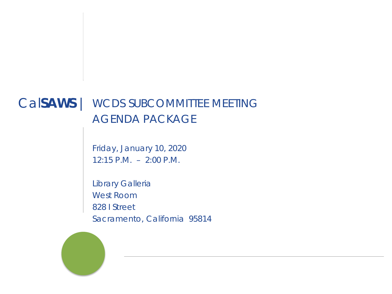### Cal**SAWS** | WCDS SUBCOMMITTEE MEETING AGENDA PACKAGE

Friday, January 10, 2020 12:15 P.M. – 2:00 P.M.

Library Galleria West Room 828 I Street Sacramento, California 95814

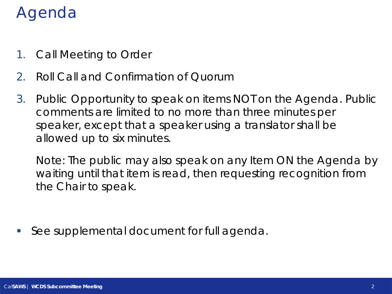### Agenda

- 1. Call Meeting to Order
- 2. Roll Call and Confirmation of Quorum
- 3. Public Opportunity to speak on items NOT on the Agenda. Public comments are limited to no more than three minutes per speaker, except that a speaker using a translator shall be allowed up to six minutes.

Note: The public may also speak on any Item ON the Agenda by waiting until that item is read, then requesting recognition from the Chair to speak.

*See supplemental document for full agenda.*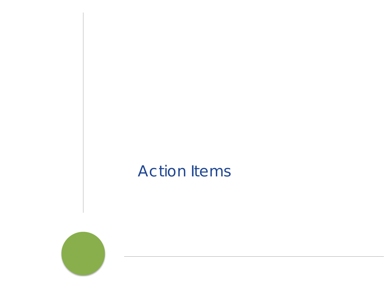### Action Items

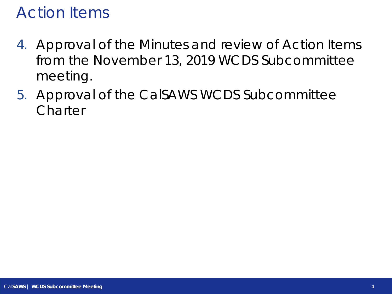### Action Items

- 4. Approval of the Minutes and review of Action Items from the November 13, 2019 WCDS Subcommittee meeting.
- 5. Approval of the CalSAWS WCDS Subcommittee **Charter**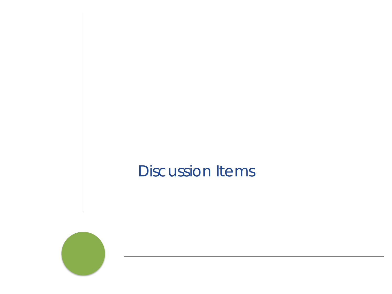### Discussion Items

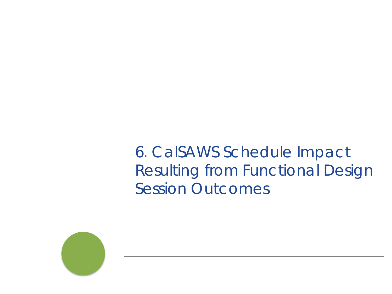6. CalSAWS Schedule Impact Resulting from Functional Design Session Outcomes

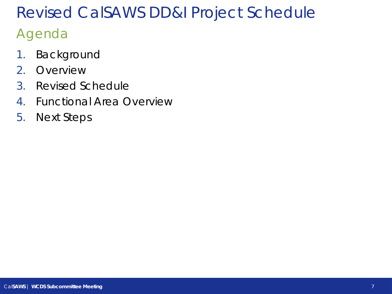### Agenda

- 1. Background
- 2. Overview
- 3. Revised Schedule
- 4. Functional Area Overview
- 5. Next Steps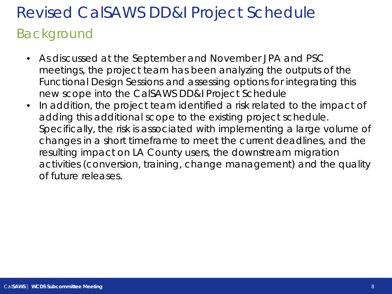### Revised CalSAWS DD&I Project Schedule Background

- As discussed at the September and November JPA and PSC meetings, the project team has been analyzing the outputs of the Functional Design Sessions and assessing options for integrating this new scope into the CalSAWS DD&I Project Schedule
- In addition, the project team identified a risk related to the impact of adding this additional scope to the existing project schedule. Specifically, the risk is associated with implementing a large volume of changes in a short timeframe to meet the current deadlines, and the resulting impact on LA County users, the downstream migration activities (conversion, training, change management) and the quality of future releases.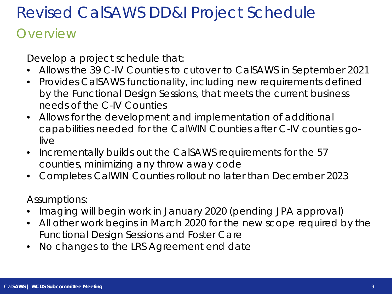### **Overview**

Develop a project schedule that:

- Allows the 39 C-IV Counties to cutover to CalSAWS in September 2021
- Provides CalSAWS functionality, including new requirements defined by the Functional Design Sessions, that meets the current business needs of the C-IV Counties
- Allows for the development and implementation of additional capabilities needed for the CalWIN Counties after C-IV counties golive
- Incrementally builds out the CalSAWS requirements for the 57 counties, minimizing any throw away code
- Completes CalWIN Counties rollout no later than December 2023

Assumptions:

- Imaging will begin work in January 2020 (pending JPA approval)
- All other work begins in March 2020 for the new scope required by the Functional Design Sessions and Foster Care
- No changes to the LRS Agreement end date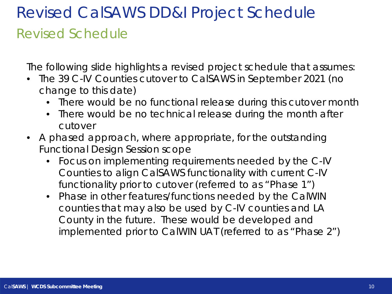### Revised CalSAWS DD&I Project Schedule Revised Schedule

The following slide highlights a revised project schedule that assumes:

- The 39 C-IV Counties cutover to CalSAWS in September 2021 (no change to this date)
	- There would be no functional release during this cutover month
	- There would be no technical release during the month after cutover
- A phased approach, where appropriate, for the outstanding Functional Design Session scope
	- Focus on implementing requirements needed by the C-IV Counties to align CalSAWS functionality with current C-IV functionality prior to cutover (referred to as "Phase 1")
	- Phase in other features/functions needed by the CalWIN counties that may also be used by C-IV counties and LA County in the future. These would be developed and implemented prior to CalWIN UAT (referred to as "Phase 2")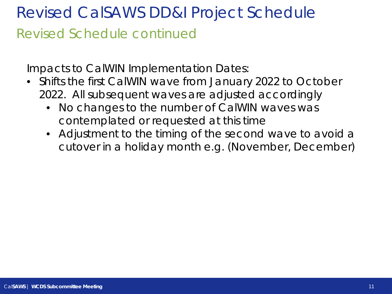## Revised CalSAWS DD&I Project Schedule Revised Schedule continued

Impacts to CalWIN Implementation Dates:

- Shifts the first CalWIN wave from January 2022 to October 2022. All subsequent waves are adjusted accordingly
	- No changes to the number of CalWIN waves was contemplated or requested at this time
	- Adjustment to the timing of the second wave to avoid a cutover in a holiday month e.g. (November, December)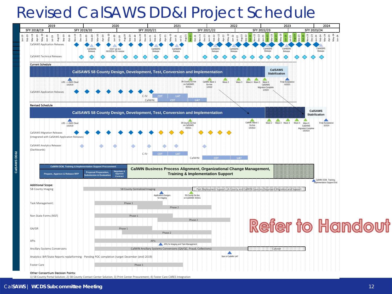

Cal**SAWS** | **WCDS Subcommittee Meeting** 12

**CalSAWS DD&I**

1) 58 County Portal Solution; 2) 58 County Contact Center Solution; 3) Print Center Procurement; 4) Foster Care CARES Integration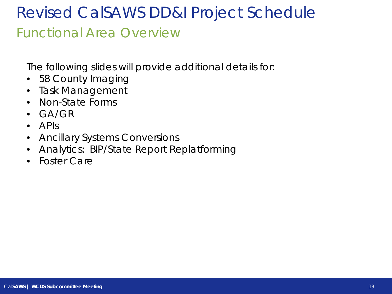### Revised CalSAWS DD&I Project Schedule Functional Area Overview

The following slides will provide additional details for:

- 58 County Imaging
- Task Management
- Non-State Forms
- GA/GR
- APIs
- Ancillary Systems Conversions
- Analytics: BIP/State Report Replatforming
- Foster Care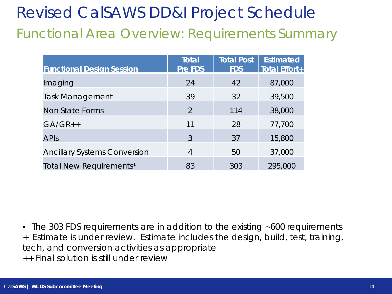### Revised CalSAWS DD&I Project Schedule Functional Area Overview: Requirements Summary

| <b>Functional Design Session</b>    | <b>Total</b><br>Pre FDS | <b>Total Post</b><br><b>FDS</b> | <b>Estimated</b><br><b>Total Effort+</b> |
|-------------------------------------|-------------------------|---------------------------------|------------------------------------------|
| Imaging                             | 24                      | 42                              | 87,000                                   |
| <b>Task Management</b>              | 39                      | 32                              | 39,500                                   |
| Non State Forms                     | $\mathcal{P}$           | 114                             | 38,000                                   |
| $GA/GR++$                           | 11                      | 28                              | 77,700                                   |
| <b>APIS</b>                         | 3                       | 37                              | 15,800                                   |
| <b>Ancillary Systems Conversion</b> | 4                       | 50                              | 37,000                                   |
| <b>Total New Requirements*</b>      | 83                      | 303                             | 295,000                                  |

• The 303 FDS requirements are in addition to the existing ~600 requirements + Estimate is under review. Estimate includes the design, build, test, training, tech, and conversion activities as appropriate ++ Final solution is still under review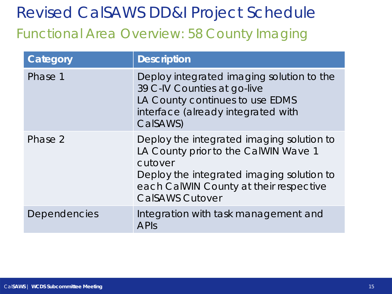### Revised CalSAWS DD&I Project Schedule Functional Area Overview: 58 County Imaging

| Category     | <b>Description</b>                                                                                                                                                                                            |
|--------------|---------------------------------------------------------------------------------------------------------------------------------------------------------------------------------------------------------------|
| Phase 1      | Deploy integrated imaging solution to the<br>39 C-IV Counties at go-live<br>LA County continues to use EDMS<br>interface (already integrated with<br>CalSAWS)                                                 |
| Phase 2      | Deploy the integrated imaging solution to<br>LA County prior to the CalWIN Wave 1<br>cutover<br>Deploy the integrated imaging solution to<br>each CalWIN County at their respective<br><b>CalSAWS Cutover</b> |
| Dependencies | Integration with task management and<br><b>APIS</b>                                                                                                                                                           |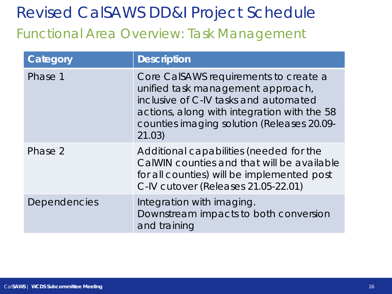### Revised CalSAWS DD&I Project Schedule Functional Area Overview: Task Management

| Category     | <b>Description</b>                                                                                                                                                                                                         |
|--------------|----------------------------------------------------------------------------------------------------------------------------------------------------------------------------------------------------------------------------|
| Phase 1      | Core CalSAWS requirements to create a<br>unified task management approach,<br>inclusive of C-IV tasks and automated<br>actions, along with integration with the 58<br>counties imaging solution (Releases 20.09-<br>21.03) |
| Phase 2      | Additional capabilities (needed for the<br>CalWIN counties and that will be available<br>for all counties) will be implemented post<br>C-IV cutover (Releases 21.05-22.01)                                                 |
| Dependencies | Integration with imaging.<br>Downstream impacts to both conversion<br>and training                                                                                                                                         |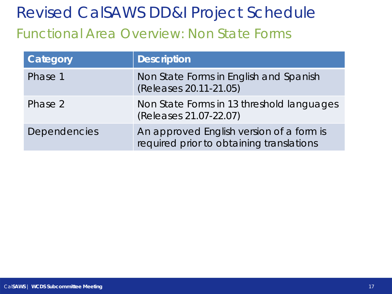### Revised CalSAWS DD&I Project Schedule Functional Area Overview: Non State Forms

| Category            | <b>Description</b>                                                                   |
|---------------------|--------------------------------------------------------------------------------------|
| Phase 1             | Non State Forms in English and Spanish<br>(Releases 20.11-21.05)                     |
| Phase 2             | Non State Forms in 13 threshold languages<br>(Releases 21.07-22.07)                  |
| <b>Dependencies</b> | An approved English version of a form is<br>required prior to obtaining translations |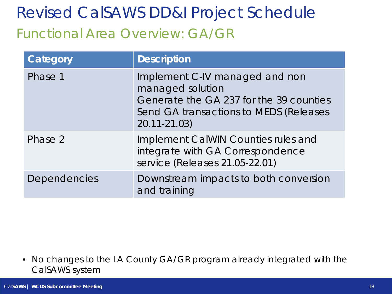### Revised CalSAWS DD&I Project Schedule Functional Area Overview: GA/GR

| Category     | <b>Description</b>                                                                                                                                      |
|--------------|---------------------------------------------------------------------------------------------------------------------------------------------------------|
| Phase 1      | Implement C-IV managed and non<br>managed solution<br>Generate the GA 237 for the 39 counties<br>Send GA transactions to MEDS (Releases<br>20.11-21.03) |
| Phase 2      | Implement CalWIN Counties rules and<br>integrate with GA Correspondence<br>service (Releases 21.05-22.01)                                               |
| Dependencies | Downstream impacts to both conversion<br>and training                                                                                                   |

• No changes to the LA County GA/GR program already integrated with the CalSAWS system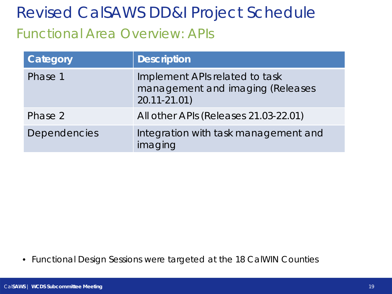### Revised CalSAWS DD&I Project Schedule Functional Area Overview: APIs

| Category            | <b>Description</b>                                                                    |
|---------------------|---------------------------------------------------------------------------------------|
| Phase 1             | Implement APIs related to task<br>management and imaging (Releases<br>$20.11 - 21.01$ |
| Phase 2             | All other APIs (Releases 21.03-22.01)                                                 |
| <b>Dependencies</b> | Integration with task management and<br>imaging                                       |

• Functional Design Sessions were targeted at the 18 CalWIN Counties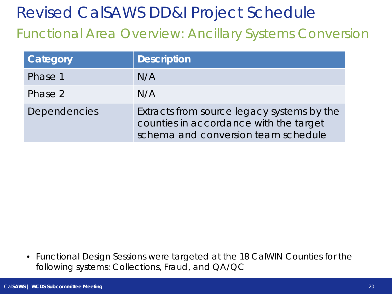Functional Area Overview: Ancillary Systems Conversion

| Category            | <b>Description</b>                                                                                                          |
|---------------------|-----------------------------------------------------------------------------------------------------------------------------|
| Phase 1             | N/A                                                                                                                         |
| Phase 2             | N/A                                                                                                                         |
| <b>Dependencies</b> | Extracts from source legacy systems by the<br>counties in accordance with the target<br>schema and conversion team schedule |

• Functional Design Sessions were targeted at the 18 CalWIN Counties for the following systems: Collections, Fraud, and QA/QC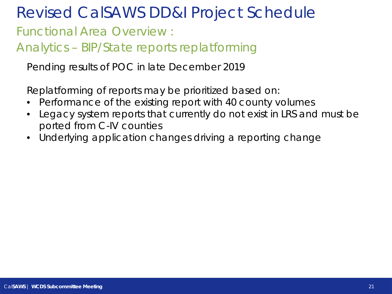Functional Area Overview :

Analytics – BIP/State reports replatforming

Pending results of POC in late December 2019

Replatforming of reports may be prioritized based on:

- Performance of the existing report with 40 county volumes
- Legacy system reports that currently do not exist in LRS and must be ported from C-IV counties
- Underlying application changes driving a reporting change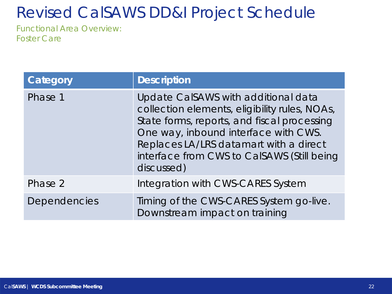Functional Area Overview: Foster Care

| Category            | <b>Description</b>                                                                                                                                                                                                                                                                |
|---------------------|-----------------------------------------------------------------------------------------------------------------------------------------------------------------------------------------------------------------------------------------------------------------------------------|
| Phase 1             | Update CalSAWS with additional data<br>collection elements, eligibility rules, NOAs,<br>State forms, reports, and fiscal processing<br>One way, inbound interface with CWS.<br>Replaces LA/LRS datamart with a direct<br>interface from CWS to CalSAWS (Still being<br>discussed) |
| Phase 2             | Integration with CWS-CARES System                                                                                                                                                                                                                                                 |
| <b>Dependencies</b> | Timing of the CWS-CARES System go-live.<br>Downstream impact on training                                                                                                                                                                                                          |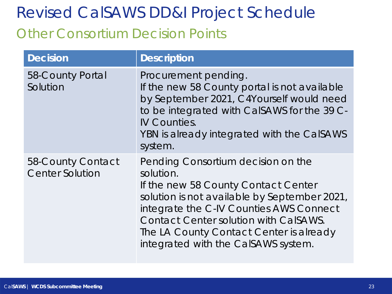### Other Consortium Decision Points

| <b>Decision</b>                             | <b>Description</b>                                                                                                                                                                                                                                                                                                  |
|---------------------------------------------|---------------------------------------------------------------------------------------------------------------------------------------------------------------------------------------------------------------------------------------------------------------------------------------------------------------------|
| 58-County Portal<br>Solution                | Procurement pending.<br>If the new 58 County portal is not available<br>by September 2021, C4Yourself would need<br>to be integrated with CalSAWS for the 39 C-<br><b>IV Counties.</b><br>YBN is already integrated with the CalSAWS<br>system.                                                                     |
| 58-County Contact<br><b>Center Solution</b> | Pending Consortium decision on the<br>solution.<br>If the new 58 County Contact Center<br>solution is not available by September 2021,<br>integrate the C-IV Counties AWS Connect<br><b>Contact Center solution with CalSAWS.</b><br>The LA County Contact Center is already<br>integrated with the CalSAWS system. |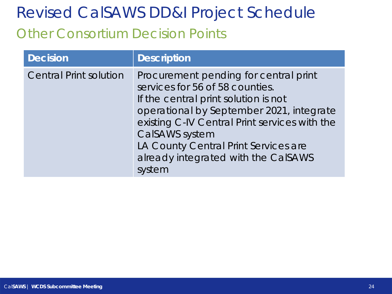### Other Consortium Decision Points

| <b>Decision</b>               | <b>Description</b>                                                                                                                                                                                                                                                                                                       |
|-------------------------------|--------------------------------------------------------------------------------------------------------------------------------------------------------------------------------------------------------------------------------------------------------------------------------------------------------------------------|
| <b>Central Print solution</b> | Procurement pending for central print<br>services for 56 of 58 counties.<br>If the central print solution is not<br>operational by September 2021, integrate<br>existing C-IV Central Print services with the<br>CalSAWS system<br>LA County Central Print Services are<br>already integrated with the CalSAWS<br>system |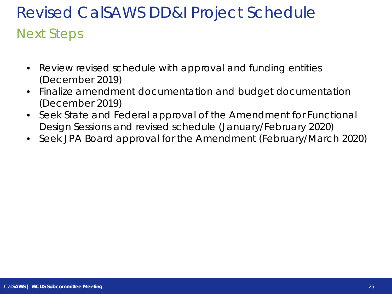# Revised CalSAWS DD&I Project Schedule Next Steps

- Review revised schedule with approval and funding entities (December 2019)
- Finalize amendment documentation and budget documentation (December 2019)
- Seek State and Federal approval of the Amendment for Functional Design Sessions and revised schedule (January/February 2020)
- Seek JPA Board approval for the Amendment (February/March 2020)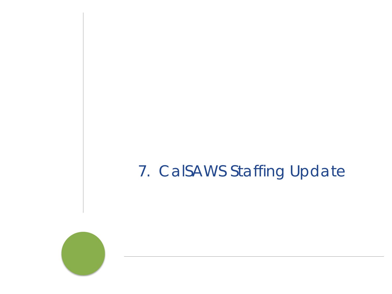### 7. CalSAWS Staffing Update

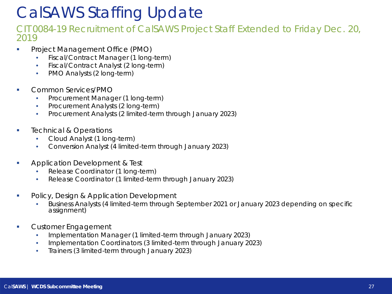### CalSAWS Staffing Update

#### CIT 0084-19 Recruitment of CalSAWS Project Staff Extended to Friday Dec. 20, 2019

- Project Management Office (PMO)
	- Fiscal/Contract Manager (1 long-term)
	- Fiscal/Contract Analyst (2 long-term)
	- PMO Analysts (2 long-term)
- **Common Services/PMO** 
	- Procurement Manager (1 long-term)
	- Procurement Analysts (2 long-term)
	- Procurement Analysts (2 limited-term through January 2023)
- **Technical & Operations** 
	- Cloud Analyst (1 long-term)
	- Conversion Analyst (4 limited-term through January 2023)
- **Application Development & Test** 
	- Release Coordinator (1 long-term)
	- Release Coordinator (1 limited-term through January 2023)
- **Policy, Design & Application Development** 
	- Business Analysts (4 limited-term through September 2021 or January 2023 depending on specific assignment)
- **Customer Engagement** 
	- Implementation Manager (1 limited-term through January 2023)
	- Implementation Coordinators (3 limited-term through January 2023)
	- Trainers (3 limited-term through January 2023)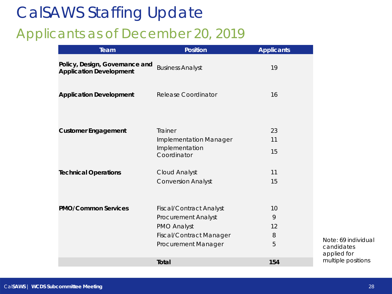### CalSAWS Staffing Update Applicants as of December 20, 2019

| Team                                                             | <b>Position</b>                          | <b>Applicants</b> |
|------------------------------------------------------------------|------------------------------------------|-------------------|
| Policy, Design, Governance and<br><b>Application Development</b> | <b>Business Analyst</b>                  | 19                |
| <b>Application Development</b>                                   | <b>Release Coordinator</b>               | 16                |
| <b>Customer Engagement</b>                                       | Trainer<br><b>Implementation Manager</b> | 23<br>11          |
|                                                                  | Implementation<br>Coordinator            | 15                |
| <b>Technical Operations</b>                                      | Cloud Analyst                            | 11                |
|                                                                  | <b>Conversion Analyst</b>                | 15                |
| <b>PMO/Common Services</b>                                       | <b>Fiscal/Contract Analyst</b>           | 10                |
|                                                                  | <b>Procurement Analyst</b>               | 9                 |
|                                                                  | <b>PMO Analyst</b>                       | 12                |
|                                                                  | <b>Fiscal/Contract Manager</b>           | 8                 |
|                                                                  | Procurement Manager                      | 5                 |
|                                                                  | <b>Total</b>                             | 154               |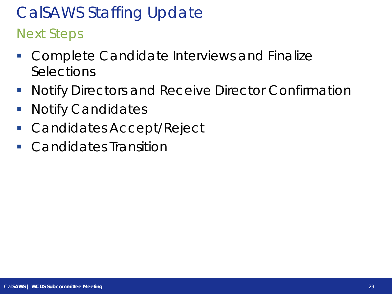# CalSAWS Staffing Update

Next Steps

- **Complete Candidate Interviews and Finalize Selections**
- **Notify Directors and Receive Director Confirmation**
- **Notify Candidates**
- **Candidates Accept/Reject**
- Candidates Transition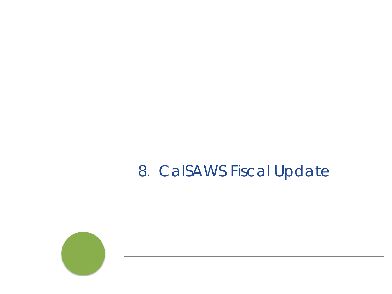### 8. CalSAWS Fiscal Update

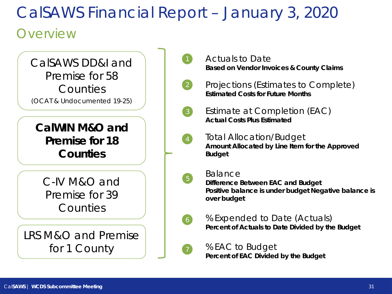### **Overview**



Actuals to Date **Based on Vendor Invoices & County Claims**

Projections (Estimates to Complete) **Estimated Costs for Future Months**

Estimate at Completion (EAC) **Actual Costs Plus Estimated**

Total Allocation/Budget **Amount Allocated by Line Item for the Approved Budget**

Balance

**Difference Between EAC and Budget Positive balance is under budget Negative balance is over budget** 

% Expended to Date (Actuals) **Percent of Actuals to Date Divided by the Budget**

% EAC to Budget **Percent of EAC Divided by the Budget**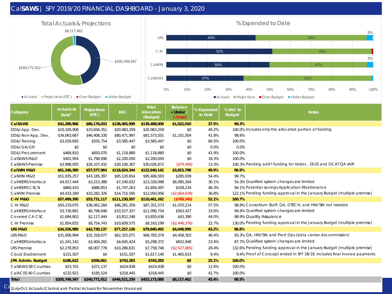#### Cal**SAWS** | SFY 2019/20 FINANCIAL DASHBOARD - January 3, 2020





| Category                    | <b>Actuals to</b><br>Date <sup>1</sup> | Projections<br>(ETC) | <b>EAC</b>    | <b>Total</b><br>Allocation<br>(Budget) | <b>Balance</b><br>+ Under /<br>$(-Over)$ | % Expended<br>to Date | % EAC to<br><b>Budget</b> | <b>Notes</b>                                                              |
|-----------------------------|----------------------------------------|----------------------|---------------|----------------------------------------|------------------------------------------|-----------------------|---------------------------|---------------------------------------------------------------------------|
| <b>CalSAWS</b>              | \$52,289,966                           | \$86,176,033         | \$138,465,999 | \$139,488,009                          | \$1,022,010                              | 37.5%                 | 99.3%                     |                                                                           |
| DD&I App. Dev.              | \$10,326,908                           | \$10,656,351         | \$20,983,259  | \$20,983,259                           | \$0                                      | 49.2%                 |                           | 100.0% Includes only the allocated portion of funding                     |
| DD&I Non-App. Dev.          | \$34,063,667                           | \$46,408,330         | \$80,471,997  | \$81,573,501                           | \$1,101,504                              | 41.8%                 | 98.6%                     |                                                                           |
| DD&I Training               | \$3,029,693                            | \$555,754            | \$3,585,447   | \$3,585,447                            | \$0                                      | 84.5%                 | 100.0%                    |                                                                           |
| <b>DD&amp;I GA/GR</b>       | \$0                                    | \$0                  | \$0           | \$0                                    | \$0                                      | 0.0%                  | 0.0%                      |                                                                           |
| <b>DD&amp;I Procurement</b> | \$468,810                              | \$650,070            | \$1,118,880   | \$1,118,880                            | \$0                                      | 41.9%                 | 100.0%                    |                                                                           |
| CalSAWS M&O                 | \$401,954                              | \$1,798,096          | \$2,200,050   | \$2,200,050                            | \$0                                      | 18.3%                 | 100.0%                    |                                                                           |
| CalSAWS Premise             | \$3,998,935                            | \$26,107,432         | \$30,106,367  | \$30,026,872                           | ( \$79,495)                              | 13.3%                 |                           | 100.3% Pending add'I funding for Undoc. 19-25 and OCAT QA shift           |
| <b>CalWIN M&amp;O</b>       | \$61,246,380                           | \$57,577,964         | \$118,824,344 | \$122,640,142                          | \$3,815,798                              | 49.9%                 | 96.9%                     |                                                                           |
| CalWIN M&O                  | \$51,935,257                           | \$43,185,397         | \$95,120,654  | \$95,406,593                           | \$285,939                                | 54.4%                 | 99.7%                     |                                                                           |
| CalHEERS Interface          | \$4,017,444                            | \$3,223,388          | \$7,240,832   | \$13,326,096                           | \$6,085,264                              | 30.1%                 |                           | 54.3% Qualified system changes are limited                                |
| CalHEERS CSCN               | \$860,410                              | \$886,853            | \$1,747,263   | \$1,856,497                            | \$109,234                                | 46.3%                 |                           | 94.1% Potential savings Application Maintenance                           |
| CalWIN Premise              | \$4,433,269                            | \$10,282,326         | \$14,715,595  | \$12,050,956                           | (\$2,664,639)                            | 36.8%                 |                           | 122.1% Pending funding approval in the January Budget (multiple premise)  |
| <b>C-IV M&amp;O</b>         | \$57,499,390                           | \$53,731,117         | \$111,230,507 | \$110,461,162                          | (\$769,345)                              | 52.1%                 | 100.7%                    |                                                                           |
| C-IV M&O                    | \$50,219,075                           | \$36,062,284         | \$86,281,359  | \$87,351,573                           | \$1,070,214                              | 57.5%                 |                           | 98.8% Consortium Staff, QA, OTECH, and HW/SW not needed                   |
| CalHEERS Interface          | \$3,730,681                            | \$6,796,646          | \$10,527,327  | \$11,090,754                           | \$563,427                                | 33.6%                 |                           | 94.9% Qualified system changes are limited                                |
| Covered CA CSC              | \$1,694,802                            | \$2,117,444          | \$3,812,246   | \$3,855,636                            | \$43,390                                 | 44.0%                 |                           | 98.9% Quality Assurance                                                   |
| C-IV Premise                | \$1,854,832                            | \$8,754,743          | \$10,609,575  | \$8,163,199                            | (\$2,446,376)                            | 22.7%                 |                           | 130.0% Pending funding approval in the January Budget (multiple premise)  |
| <b>LRS M&amp;O</b>          | \$34,526,989                           | \$42,730,137         | \$77,257,126  | \$79,840,492                           | \$4,048,999                              | 43.2%                 | 96.8%                     |                                                                           |
| LRS M&O                     | \$31,006,994                           | \$31,318,077         | \$62,325,071  | \$66,783,374                           | \$4,458,303                              | 46.4%                 |                           | 93.3% QA, HW/SW and Prod Ops (data center decommission)                   |
| CalHEERS Interface          | \$1,241,142                            | \$3,404,282          | \$4,645,424   | \$5,298,372                            | \$652,948                                | 23.4%                 |                           | 87.7% Qualified system changes are limited                                |
| <b>LRS</b> Premise          | \$2,278,853                            | \$8,007,778          | \$10,286,631  | \$7,758,746                            | (\$2,527,885)                            | 29.4%                 |                           | 132.6% Pending funding approval in the January Budget (multiple premise)  |
| Cloud Enablement            | \$151,507                              | \$0                  | \$151,507     | \$1,617,140                            | \$1,465,633                              | 9.4%                  |                           | 9.4% Proof of Concept ended in SFY 18/19, includes final invoice payments |
| <b>JPA Admin. Budget</b>    | \$186,622                              | \$556,661            | \$743,283     | \$743,283                              | \$0                                      | 25.1%                 | 100.0%                    |                                                                           |
| CalSAWS 58 Counties         | \$53,701                               | \$371,137            | \$424,838     | \$424,838                              | \$0                                      | 12.6%                 | 100.0%                    |                                                                           |
| CalACES 40 Counties         | \$132,921                              | \$185,524            | \$318,445     | \$318,445                              | \$0                                      | 41.7%                 | 100.0%                    |                                                                           |
| Total                       | \$205,749,347                          | \$240,771,912        | \$446,521,259 | \$453,173,088                          | \$8,117,462                              | 45.4%                 | 98.5%                     |                                                                           |

 $\textsf{C}$ a <sub>1July-Oct Actuals (Claims) and Partial Actuals for November (Invoices)<br>.</sub>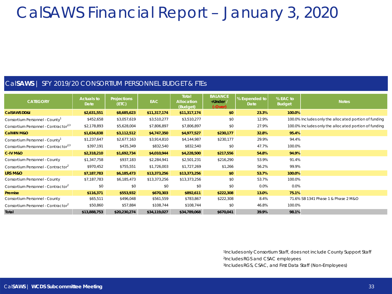#### Cal**SAWS** | SFY 2019/20 CONSORTIUM PERSONNEL BUDGET & FTEs

| <b>CATEGORY</b>                                  | <b>Actuals to</b><br>Date | <b>Projections</b><br>(ETC) | <b>EAC</b>   | Total<br><b>Allocation</b><br>(Budget) | <b>BALANCE</b><br>+Under /<br>$(-Over)$ | % Expended to<br>Date | % EAC to<br><b>Budget</b> | <b>Notes</b>                                          |
|--------------------------------------------------|---------------------------|-----------------------------|--------------|----------------------------------------|-----------------------------------------|-----------------------|---------------------------|-------------------------------------------------------|
| <b>CalSAWS DD&amp;I</b>                          | \$2,631,551               | \$8,685,623                 | \$11,317,174 | \$11,317,174                           | \$0                                     | 23.3%                 | 100.0%                    |                                                       |
| Consortium Personnel - County <sup>1</sup>       | \$452,658                 | \$3,057,619                 | \$3,510,277  | \$3,510,277                            | \$0                                     | 12.9%                 |                           | 100.0% Includes only the allocated portion of funding |
| Consortium Personnel - Contractor <sup>2,3</sup> | \$2,178,893               | \$5,628,004                 | \$7,806,897  | \$7,806,897                            | \$0                                     | 27.9%                 |                           | 100.0% Includes only the allocated portion of funding |
| <b>CalWIN M&amp;O</b>                            | \$1,634,838               | \$3,112,512                 | \$4,747,350  | \$4,977,527                            | \$230,177                               | 32.8%                 | 95.4%                     |                                                       |
| Consortium Personnel - County <sup>1</sup>       | \$1,237,647               | \$2,677,163                 | \$3,914,810  | \$4,144,987                            | \$230,177                               | 29.9%                 | 94.4%                     |                                                       |
| Consortium Personnel - Contractor <sup>2,3</sup> | \$397,191                 | \$435,349                   | \$832,540    | \$832,540                              | \$0                                     | 47.7%                 | 100.0%                    |                                                       |
| <b>C-IV M&amp;O</b>                              | \$2,318,210               | \$1,692,734                 | \$4,010,944  | \$4,228,500                            | \$217,556                               | 54.8%                 | 94.9%                     |                                                       |
| Consortium Personnel - County                    | \$1,347,758               | \$937,183                   | \$2,284,941  | \$2,501,231                            | \$216,290                               | 53.9%                 | 91.4%                     |                                                       |
| Consortium Personnel - Contractor <sup>2</sup>   | \$970,452                 | \$755,551                   | \$1,726,003  | \$1,727,269                            | \$1,266                                 | 56.2%                 | 99.9%                     |                                                       |
| LRS M&O                                          | \$7,187,783               | \$6,185,473                 | \$13,373,256 | \$13,373,256                           | \$0                                     | 53.7%                 | 100.0%                    |                                                       |
| Consortium Personnel - County                    | \$7,187,783               | \$6,185,473                 | \$13,373,256 | \$13,373,256                           | \$0                                     | 53.7%                 | 100.0%                    |                                                       |
| Consortium Personnel - Contractor <sup>2</sup>   | \$0                       | \$0                         | \$0          | \$0                                    | \$0                                     | 0.0%                  | 0.0%                      |                                                       |
| Premise                                          | \$116,371                 | \$553,932                   | \$670,303    | \$892,611                              | \$222,308                               | 13.0%                 | 75.1%                     |                                                       |
| Consortium Personnel - County                    | \$65,511                  | \$496,048                   | \$561,559    | \$783,867                              | \$222,308                               | 8.4%                  |                           | 71.6% SB 1341 Phase 1 & Phase 2 M&O                   |
| Consortium Personnel - Contractor <sup>2</sup>   | \$50,860                  | \$57,884                    | \$108,744    | \$108,744                              | \$0                                     | 46.8%                 | 100.0%                    |                                                       |
| Total                                            | \$13,888,753              | \$20,230,274                | \$34,119,027 | \$34,789,068                           | \$670,041                               | 39.9%                 | 98.1%                     |                                                       |

1Includes only Consortium Staff, does not include County Support Staff 2Includes RGS and CSAC employees 3Includes RGS, CSAC, and First Data Staff (Non-Employees)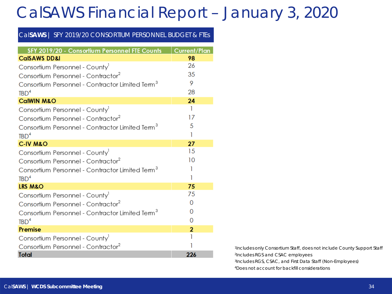#### Cal**SAWS** | SFY 2019/20 CONSORTIUM PERSONNEL BUDGET & FTEs

| SFY 2019/20 - Consortium Personnel FTE Counts               | <b>Current/Plan</b> |
|-------------------------------------------------------------|---------------------|
| <b>CalSAWS DD&amp;I</b>                                     | 98                  |
| Consortium Personnel - County                               | 26                  |
| Consortium Personnel - Contractor <sup>2</sup>              | 35                  |
| Consortium Personnel - Contractor Limited Term <sup>3</sup> | 9                   |
| TBD <sup>4</sup>                                            | 28                  |
| <b>CalWIN M&amp;O</b>                                       | 24                  |
| Consortium Personnel - County <sup>1</sup>                  | 1                   |
| Consortium Personnel - Contractor <sup>2</sup>              | 17                  |
| Consortium Personnel - Contractor Limited Term <sup>3</sup> | 5                   |
| TBD <sup>4</sup>                                            | 1                   |
| <b>C-IV M&amp;O</b>                                         | 27                  |
| Consortium Personnel - County                               | 15                  |
| Consortium Personnel - Contractor <sup>2</sup>              | 10                  |
| Consortium Personnel - Contractor Limited Term <sup>3</sup> | ı                   |
| TBD <sup>4</sup>                                            | 1                   |
| <b>LRS M&amp;O</b>                                          | 75                  |
| Consortium Personnel - County                               | 75                  |
| Consortium Personnel - Contractor <sup>2</sup>              | 0                   |
| Consortium Personnel - Contractor Limited Term <sup>3</sup> | 0                   |
| TBD <sup>4</sup>                                            | 0                   |
| <b>Premise</b>                                              | $\overline{2}$      |
| Consortium Personnel - County                               |                     |
| Consortium Personnel - Contractor <sup>2</sup>              |                     |
| <b>Total</b>                                                | 226                 |

1Includes only Consortium Staff, does not include County Support Staff 2Includes RGS and CSAC employees 3Includes RGS, CSAC, and First Data Staff (Non-Employees) 4Does not account for backfill considerations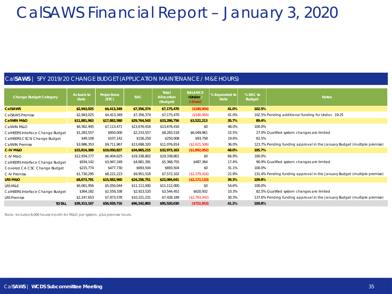#### Cal**SAWS** | SFY 2019/20 CHANGE BUDGET (APPLICATION MAINTENANCE / M&E HOURS)

| <b>Change Budget Category</b>    | <b>Actuals to</b><br>Date | <b>Projections</b><br>(ETC) | <b>EAC</b>   | Total<br>Allocation<br>(Budget) | <b>BALANCE</b><br>$+$ Under /<br>$(-Over)$ | % Expended to<br><b>Date</b> | % EAC to<br><b>Budget</b> | <b>Notes</b>                                                             |
|----------------------------------|---------------------------|-----------------------------|--------------|---------------------------------|--------------------------------------------|------------------------------|---------------------------|--------------------------------------------------------------------------|
| <b>CalSAWS</b>                   | \$2,943,025               | \$4,413,349                 | \$7,356,374  | \$7,175,470                     | (\$180,904)                                | 41.0%                        | 102.5%                    |                                                                          |
| CalSAWS Premise                  | \$2,943,025               | \$4,413,349                 | \$7,356,374  | \$7,175,470                     | (\$180,904)                                | 41.0%                        |                           | 102.5% Pending additional funding for Undoc. 19-25                       |
| <b>CalWIN M&amp;O</b>            | \$11,881,963              | \$17,882,580                | \$29,764,543 | \$33,286,756                    | \$3,522,213                                | 35.7%                        | 89.4%                     |                                                                          |
| CalWIN M&O                       | \$6,562,945               | \$7,113,471                 | \$13,676,416 | \$13,676,416                    | \$0                                        | 48.0%                        | 100.0%                    |                                                                          |
| CalHEERS Interface Change Budget | \$1,283,557               | \$950,000                   | \$2,233,557  | \$8,283,518                     | \$6,049,961                                | 15.5%                        |                           | 27.0% Qualified system changes are limited                               |
| CalHEERS CSCN Change Budget      | \$49,108                  | \$107,142                   | \$156,250    | \$250,008                       | \$93,758                                   | 19.6%                        | 62.5%                     |                                                                          |
| CalWIN Premise                   | \$3,986,353               | \$9,711,967                 | \$13,698,320 | \$11,076,814                    | (\$2,621,506)                              | 36.0%                        |                           | 123.7% Pending funding approval in the January Budget (multiple premise) |
| C-IV M&O                         | \$15,814,388              | \$19,050,827                | \$34,865,215 | \$32,973,163                    | (\$1,892,052)                              | 48.0%                        | 105.7%                    |                                                                          |
| C-IV M&O                         | \$12,934,177              | \$6,404,625                 | \$19,338,802 | \$19,338,802                    | \$0                                        | 66.9%                        | 100.0%                    |                                                                          |
| CalHEERS Interface Change Budget | \$934,142                 | \$3,947,249                 | \$4,881,391  | \$5,368,755                     | \$487,364                                  | 17.4%                        |                           | 90.9% Qualified system changes are limited                               |
| Covered CA CSC Change Budget     | \$215,774                 | \$477,730                   | \$693,504    | \$693,504                       | \$0                                        | 31.1%                        | 100.0%                    |                                                                          |
| C-IV Premise                     | \$1,730,295               | \$8,221,223                 | \$9,951,518  | \$7,572,102                     | (\$2,379,416)                              | 22.9%                        |                           | 131.4% Pending funding approval in the January Budget (multiple premise) |
| LRS M&O                          | \$8,673,791               | \$15,582,960                | \$24,256,751 | \$22,084,641                    | (\$2,172,110)                              | 39.3%                        | 109.8%                    |                                                                          |
| LRS M&E                          | \$6,061,956               | \$5,050,044                 | \$11,112,000 | \$11,112,000                    | \$0                                        | 54.6%                        | 100.0%                    |                                                                          |
| CalHEERS Interface Change Budget | \$364,182                 | \$2,559,338                 | \$2,923,520  | \$3,544,452                     | \$620,932                                  | 10.3%                        |                           | 82.5% Qualified system changes are limited                               |
| <b>LRS Premise</b>               | \$2,247,653               | \$7,973,578                 | \$10,221,231 | \$7,428,189                     | (\$2,793,042)                              | 30.3%                        |                           | 137.6% Pending funding approval in the January Budget (multiple premise) |
| <b>TOTAL</b>                     | \$39,313,167              | \$56,929,716                | \$96,242,883 | \$95,520,030                    | (\$722, 853)                               | 41.2%                        | 100.8%                    |                                                                          |

Note: Includes 8,000 hours/month for M&O per system, plus premise hours.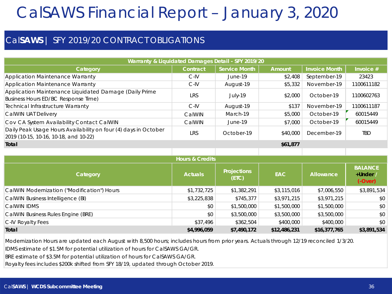#### Cal**SAWS** | SFY 2019/20 CONTRACT OBLIGATIONS

| Warranty & Liquidated Damages Detail - SFY 2019/20                                                       |                            |                             |             |                      |                                         |  |
|----------------------------------------------------------------------------------------------------------|----------------------------|-----------------------------|-------------|----------------------|-----------------------------------------|--|
| Category                                                                                                 | Contract                   | <b>Service Month</b>        | Amount      | <b>Invoice Month</b> | Invoice $#$                             |  |
| Application Maintenance Warranty                                                                         | $C$ -IV                    | June-19                     | \$2,408     | September-19         | 23423                                   |  |
| <b>Application Maintenance Warranty</b>                                                                  | C-IV                       | August-19                   | \$5,332     | November-19          | 1100611182                              |  |
| Application Maintenance Liquidated Damage (Daily Prime<br>Business Hours ED/BC Response Time)            | LRS                        | July-19                     | \$2,000     | October-19           | 1100602763                              |  |
| Technical Infrastructure Warranty                                                                        | $C$ -IV                    | August-19                   | \$137       | November-19          | 1100611187                              |  |
| CalWIN UAT Delivery                                                                                      | CalWIN                     | March-19                    | \$5,000     | October-19           | 60015449                                |  |
| Cov CA System Availability Contact CalWIN                                                                | CalWIN                     | June-19                     | \$7,000     | October-19           | 60015449                                |  |
| Daily Peak Usage Hours Availability on four (4) days in October<br>2019 (10-15, 10-16, 10-18, and 10-22) | <b>LRS</b>                 | October-19                  | \$40,000    | December-19          | TBD                                     |  |
| Total                                                                                                    | \$61,877                   |                             |             |                      |                                         |  |
|                                                                                                          |                            |                             |             |                      |                                         |  |
|                                                                                                          | <b>Hours &amp; Credits</b> |                             |             |                      |                                         |  |
| Category                                                                                                 | <b>Actuals</b>             | <b>Projections</b><br>(ETC) | <b>EAC</b>  | Allowance            | <b>BALANCE</b><br>+Under /<br>$(-Over)$ |  |
| CalWIN Modernization ("Modification") Hours                                                              | \$1,732,725                | \$1,382,291                 | \$3,115,016 | \$7,006,550          | \$3,891,534                             |  |
| CalWIN Business Intelligence (BI)                                                                        | \$3,225,838                | \$745,377                   | \$3,971,215 | \$3,971,215          | \$0                                     |  |
| CalWIN IDMS                                                                                              | \$0                        | \$1,500,000                 | \$1,500,000 | \$1,500,000          | \$0                                     |  |
| CalWIN Business Rules Engine (BRE)                                                                       | \$0                        | \$3,500,000                 | \$3,500,000 | \$3,500,000          | \$0                                     |  |

C-IV Royalty Fees \$37,496 | \$362,504 | \$400,000 | \$400,000 | \$0 **Total \$4,996,059 \$7,490,172 \$12,486,231 \$16,377,765 \$3,891,534**

Modernization Hours are updated each August with 8,500 hours; includes hours from prior years. Actuals through 12/19 reconciled 1/3/20.

IDMS estimate of \$1.5M for potential utilization of hours for CalSAWS GA/GR.

BRE estimate of \$3.5M for potential utilization of hours for CalSAWS GA/GR.

Royalty fees includes \$200k shifted from SFY 18/19, updated through October 2019.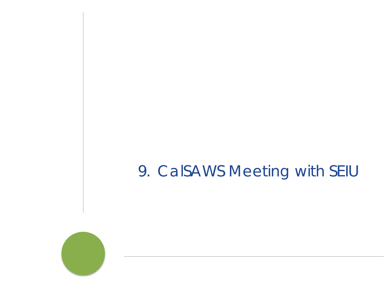### 9. CalSAWS Meeting with SEIU

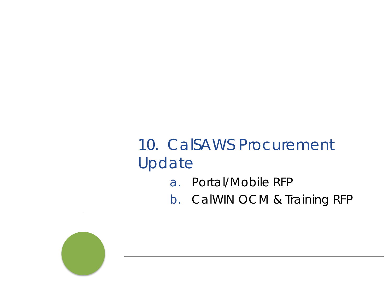### 10. CalSAWS Procurement Update

- a. Portal/Mobile RFP
- b. CalWIN OCM & Training RFP

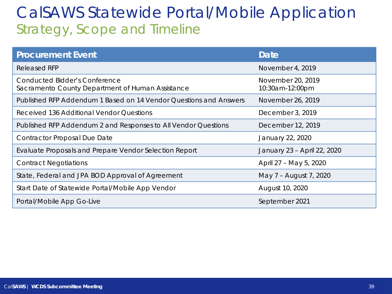### CalSAWS Statewide Portal/Mobile Application Strategy, Scope and Timeline

| <b>Procurement Event</b>                                                                 | <b>Date</b>                          |
|------------------------------------------------------------------------------------------|--------------------------------------|
| <b>Released RFP</b>                                                                      | November 4, 2019                     |
| <b>Conducted Bidder's Conference</b><br>Sacramento County Department of Human Assistance | November 20, 2019<br>10:30am-12:00pm |
| Published RFP Addendum 1 Based on 14 Vendor Questions and Answers                        | November 26, 2019                    |
| Received 136 Additional Vendor Questions                                                 | December 3, 2019                     |
| Published RFP Addendum 2 and Responses to All Vendor Questions                           | December 12, 2019                    |
| <b>Contractor Proposal Due Date</b>                                                      | January 22, 2020                     |
| Evaluate Proposals and Prepare Vendor Selection Report                                   | January 23 - April 22, 2020          |
| <b>Contract Negotiations</b>                                                             | April 27 – May 5, 2020               |
| State, Federal and JPA BOD Approval of Agreement                                         | May 7 - August 7, 2020               |
| Start Date of Statewide Portal/Mobile App Vendor                                         | August 10, 2020                      |
| Portal/Mobile App Go-Live                                                                | September 2021                       |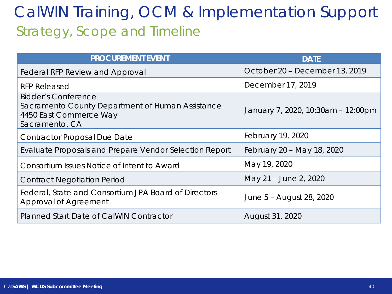### CalWIN Training, OCM & Implementation Support Strategy, Scope and Timeline

| <b>PROCUREMENT EVENT</b>                                                                                                   | <b>DATE</b>                        |
|----------------------------------------------------------------------------------------------------------------------------|------------------------------------|
| <b>Federal RFP Review and Approval</b>                                                                                     | October 20 - December 13, 2019     |
| <b>RFP Released</b>                                                                                                        | December 17, 2019                  |
| <b>Bidder's Conference</b><br>Sacramento County Department of Human Assistance<br>4450 East Commerce Way<br>Sacramento, CA | January 7, 2020, 10:30am - 12:00pm |
| <b>Contractor Proposal Due Date</b>                                                                                        | February 19, 2020                  |
| Evaluate Proposals and Prepare Vendor Selection Report                                                                     | February 20 - May 18, 2020         |
| Consortium Issues Notice of Intent to Award                                                                                | May 19, 2020                       |
| <b>Contract Negotiation Period</b>                                                                                         | May 21 - June 2, 2020              |
| Federal, State and Consortium JPA Board of Directors<br>Approval of Agreement                                              | June 5 - August 28, 2020           |
| Planned Start Date of CalWIN Contractor                                                                                    | August 31, 2020                    |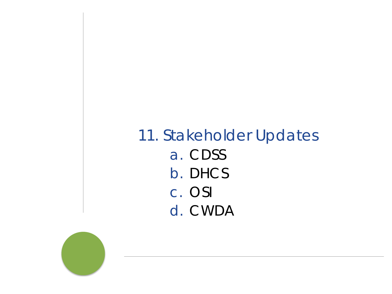### 11. Stakeholder Updates a. CDSS b. DHCS c. OSI d. CWDA

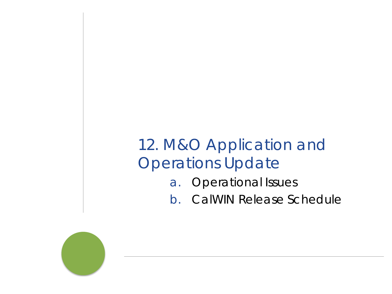### 12. M&O Application and Operations Update

- a. Operational Issues
- b. CalWIN Release Schedule

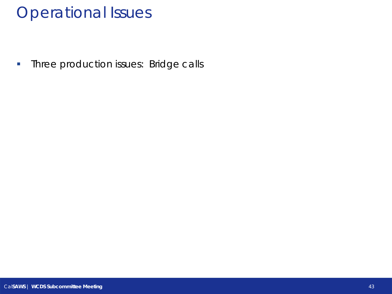### Operational Issues

**Three production issues: Bridge calls**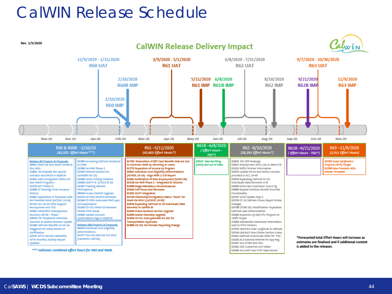### CalWIN Release Schedule

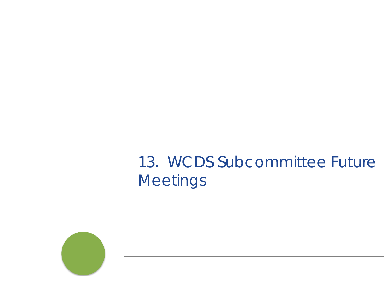### 13. WCDS Subcommittee Future **Meetings**